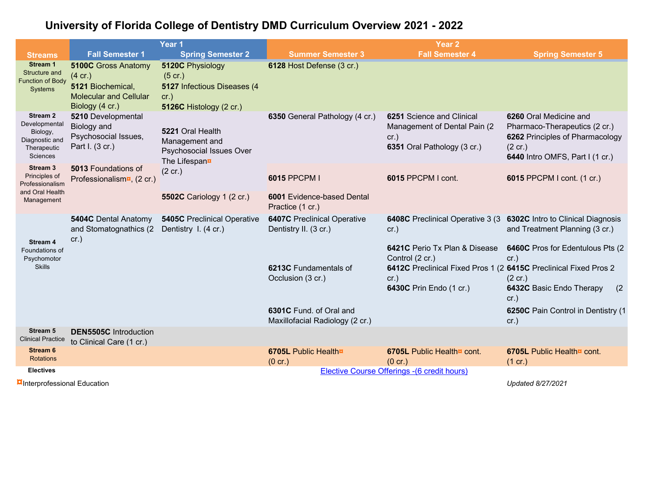## **University of Florida College of Dentistry DMD Curriculum Overview 2021 - 2022**

|                                                                                               |                                                                                                                | Year <sub>1</sub>                                                                               | Year <sub>2</sub>                                           |                                                                                                                                                         |                                                                                                                                                    |  |  |  |  |
|-----------------------------------------------------------------------------------------------|----------------------------------------------------------------------------------------------------------------|-------------------------------------------------------------------------------------------------|-------------------------------------------------------------|---------------------------------------------------------------------------------------------------------------------------------------------------------|----------------------------------------------------------------------------------------------------------------------------------------------------|--|--|--|--|
| <b>Streams</b>                                                                                | <b>Fall Semester 1</b>                                                                                         | <b>Spring Semester 2</b>                                                                        | <b>Summer Semester 3</b>                                    | <b>Fall Semester 4</b>                                                                                                                                  | <b>Spring Semester 5</b>                                                                                                                           |  |  |  |  |
| Stream 1<br>Structure and<br><b>Function of Body</b><br>Systems                               | <b>5100C Gross Anatomy</b><br>(4 cr.)<br>5121 Biochemical,<br><b>Molecular and Cellular</b><br>Biology (4 cr.) | 5120C Physiology<br>$(5$ cr.)<br>5127 Infectious Diseases (4<br>cr.)<br>5126C Histology (2 cr.) | 6128 Host Defense (3 cr.)                                   |                                                                                                                                                         |                                                                                                                                                    |  |  |  |  |
| Stream <sub>2</sub><br>Developmental<br>Biology,<br>Diagnostic and<br>Therapeutic<br>Sciences | 5210 Developmental<br>Biology and<br>Psychosocial Issues,<br>Part I. (3 cr.)                                   | 5221 Oral Health<br>Management and<br>Psychosocial Issues Over<br>The Lifespann                 | 6350 General Pathology (4 cr.)                              | 6251 Science and Clinical<br>Management of Dental Pain (2)<br>cr.)<br>6351 Oral Pathology (3 cr.)                                                       | 6260 Oral Medicine and<br>Pharmaco-Therapeutics (2 cr.)<br>6262 Principles of Pharmacology<br>$(2 \text{ cr.})$<br>6440 Intro OMFS, Part I (1 cr.) |  |  |  |  |
| Stream 3<br>Principles of<br>Professionalism<br>and Oral Health<br>Management                 | <b>5013 Foundations of</b><br>Professionalism <b>¤</b> , (2 cr.)                                               | $(2 \text{ cr.})$                                                                               | 6015 PPCPM I                                                | 6015 PPCPM I cont.                                                                                                                                      | 6015 PPCPM I cont. (1 cr.)                                                                                                                         |  |  |  |  |
|                                                                                               |                                                                                                                | <b>5502C</b> Cariology 1 (2 cr.)                                                                | <b>6001 Evidence-based Dental</b><br>Practice (1 cr.)       |                                                                                                                                                         |                                                                                                                                                    |  |  |  |  |
| <b>Stream 4</b><br>Foundations of<br>Psychomotor<br><b>Skills</b>                             | <b>5404C Dental Anatomy</b><br>and Stomatognathics (2)<br>cr.)                                                 | <b>5405C</b> Preclinical Operative<br>Dentistry I. (4 cr.)                                      | <b>6407C</b> Preclinical Operative<br>Dentistry II. (3 cr.) | 6408C Preclinical Operative 3 (3)<br>cr.)                                                                                                               | 6302C Intro to Clinical Diagnosis<br>and Treatment Planning (3 cr.)                                                                                |  |  |  |  |
|                                                                                               |                                                                                                                |                                                                                                 | 6213C Fundamentals of<br>Occlusion (3 cr.)                  | 6421C Perio Tx Plan & Disease<br>Control (2 cr.)<br>6412C Preclinical Fixed Pros 1 (2 6415C Preclinical Fixed Pros 2<br>cr.)<br>6430C Prin Endo (1 cr.) | 6460C Pros for Edentulous Pts (2)<br>cr.)<br>$(2 \text{ cr.})$<br>6432C Basic Endo Therapy<br>(2)<br>cr.)                                          |  |  |  |  |
|                                                                                               |                                                                                                                |                                                                                                 | 6301C Fund. of Oral and<br>Maxillofacial Radiology (2 cr.)  |                                                                                                                                                         | 6250C Pain Control in Dentistry (1<br>cr.)                                                                                                         |  |  |  |  |
| <b>Stream 5</b><br><b>Clinical Practice</b>                                                   | <b>DEN5505C</b> Introduction<br>to Clinical Care (1 cr.)                                                       |                                                                                                 |                                                             |                                                                                                                                                         |                                                                                                                                                    |  |  |  |  |
| <b>Stream 6</b><br><b>Rotations</b>                                                           |                                                                                                                |                                                                                                 | 6705L Public Health¤<br>$(0 \text{ cr.})$                   | 6705L Public Health¤ cont.<br>$(0 \text{ cr.})$                                                                                                         | 6705L Public Health¤ cont.<br>$(1 \text{ cr.})$                                                                                                    |  |  |  |  |
| <b>Electives</b>                                                                              | Elective Course Offerings - (6 credit hours)                                                                   |                                                                                                 |                                                             |                                                                                                                                                         |                                                                                                                                                    |  |  |  |  |
| <b>¤Interprofessional Education</b><br>Updated 8/27/2021                                      |                                                                                                                |                                                                                                 |                                                             |                                                                                                                                                         |                                                                                                                                                    |  |  |  |  |